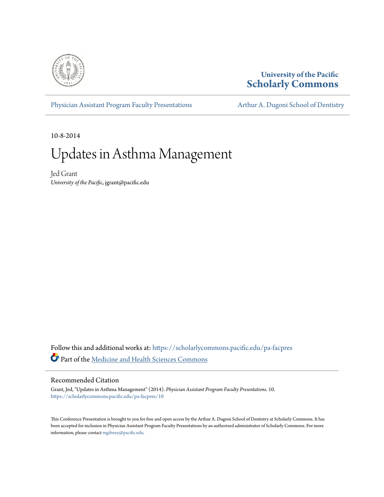

#### **University of the Pacific [Scholarly Commons](https://scholarlycommons.pacific.edu?utm_source=scholarlycommons.pacific.edu%2Fpa-facpres%2F10&utm_medium=PDF&utm_campaign=PDFCoverPages)**

[Physician Assistant Program Faculty Presentations](https://scholarlycommons.pacific.edu/pa-facpres?utm_source=scholarlycommons.pacific.edu%2Fpa-facpres%2F10&utm_medium=PDF&utm_campaign=PDFCoverPages) [Arthur A. Dugoni School of Dentistry](https://scholarlycommons.pacific.edu/dugoni?utm_source=scholarlycommons.pacific.edu%2Fpa-facpres%2F10&utm_medium=PDF&utm_campaign=PDFCoverPages)

10-8-2014

# Updates in Asthma Management

Jed Grant *University of the Pacific*, jgrant@pacific.edu

Follow this and additional works at: [https://scholarlycommons.pacific.edu/pa-facpres](https://scholarlycommons.pacific.edu/pa-facpres?utm_source=scholarlycommons.pacific.edu%2Fpa-facpres%2F10&utm_medium=PDF&utm_campaign=PDFCoverPages) Part of the [Medicine and Health Sciences Commons](http://network.bepress.com/hgg/discipline/648?utm_source=scholarlycommons.pacific.edu%2Fpa-facpres%2F10&utm_medium=PDF&utm_campaign=PDFCoverPages)

#### Recommended Citation

Grant, Jed, "Updates in Asthma Management" (2014). *Physician Assistant Program Faculty Presentations*. 10. [https://scholarlycommons.pacific.edu/pa-facpres/10](https://scholarlycommons.pacific.edu/pa-facpres/10?utm_source=scholarlycommons.pacific.edu%2Fpa-facpres%2F10&utm_medium=PDF&utm_campaign=PDFCoverPages)

This Conference Presentation is brought to you for free and open access by the Arthur A. Dugoni School of Dentistry at Scholarly Commons. It has been accepted for inclusion in Physician Assistant Program Faculty Presentations by an authorized administrator of Scholarly Commons. For more information, please contact [mgibney@pacific.edu.](mailto:mgibney@pacific.edu)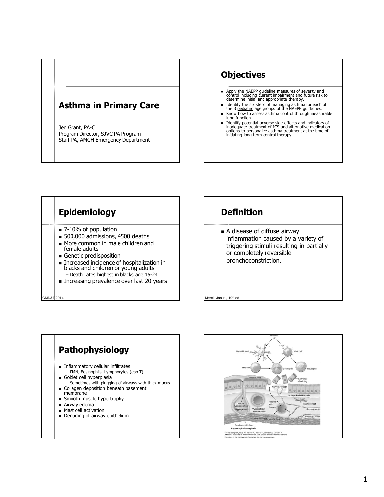#### **Asthma in Primary Care**

Jed Grant, PA-C Program Director, SJVC PA Program Staff PA, AMCH Emergency Department



- Know how to assess asthma control through measurable lung function. Identify potential adverse side-effects and indicators of
- inadequate treatment of ICS and alternative medication options to personalize asthma treatment at the time of initiating long-term control therapy







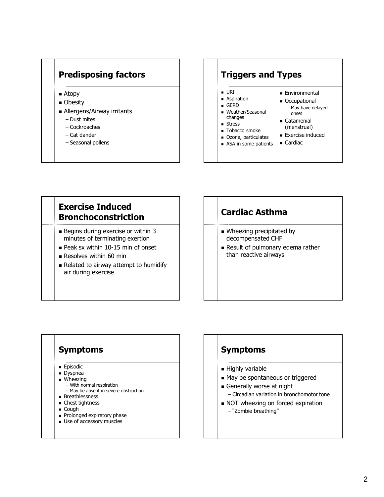## **Predisposing factors**

- Atopy
- **Obesity**
- Allergens/Airway irritants
	- Dust mites
	- Cockroaches
	- Cat dander
	- Seasonal pollens

#### **Triggers and Types**

- URI
- **Aspiration** GERD
- Weather/Seasonal changes
- **Stress**
- **Tobacco smoke**
- **Ozone, particulates**
- **ASA** in some patients
- **Environmental**
- **Occupational** 
	- May have delayed onset
- **Catamenial** (menstrual)
- **Exercise induced**
- **Cardiac**

## **Exercise Induced Bronchoconstriction**

- Begins during exercise or within 3 minutes of terminating exertion
- $\blacksquare$  Peak sx within 10-15 min of onset
- Resolves within 60 min
- Related to airway attempt to humidify air during exercise

## **Cardiac Asthma**

- **Wheezing precipitated by** decompensated CHF
- Result of pulmonary edema rather than reactive airways

#### **Symptoms**

- **Episodic**
- $\overline{\phantom{a}}$  Dyspnea
- Wheezing
	- With normal respiration – May be absent in severe obstruction
- **Breathlessness**
- **Chest tightness**
- Cough
- Prolonged expiratory phase
- **Use of accessory muscles**

#### **Symptoms**

- **Highly variable**
- May be spontaneous or triggered
- Generally worse at night
- Circadian variation in bronchomotor tone
- NOT wheezing on forced expiration
	- "Zombie breathing"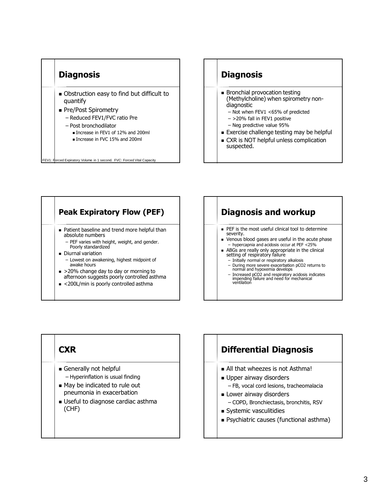

#### **Diagnosis**

- **Bronchial provocation testing** (Methylcholine) when spirometry nondiagnostic
	- Not when FEV1 <65% of predicted
	- >20% fall in FEV1 positive
	- Neg predictive value 95%
- **Exercise challenge testing may be helpful**
- CXR is NOT helpful unless complication suspected.

#### **Peak Expiratory Flow (PEF)** ■ Patient baseline and trend more helpful than absolute numbers – PEF varies with height, weight, and gender. Poorly standardized Diurnal variation – Lowest on awakening, highest midpoint of awake hours ■ >20% change day to day or morning to afternoon suggests poorly controlled asthma ■ <200L/min is poorly controlled asthma

## **Diagnosis and workup**

- PEF is the most useful clinical tool to determine severity.
- **venous blood gases are useful in the acute phase** – hypercapnia and acidosis occur at PEF <25%
- ABGs are really only appropriate in the clinical setting of respiratory failure
	- Initially normal or respiratory alkalosis
	- During more severe exacerbation pCO2 returns to normal and hypoxemia develops
	- Increased pCO2 and respiratory acidosis indicates impending failure and need for mechanical ventilation

## **CXR** Generally not helpful – Hyperinflation is usual finding ■ May be indicated to rule out pneumonia in exacerbation Useful to diagnose cardiac asthma (CHF)

## **Differential Diagnosis**

- All that wheezes is not Asthma!
- **Upper airway disorders** 
	- FB, vocal cord lesions, tracheomalacia
- **Lower airway disorders** 
	- COPD, Bronchiectasis, bronchitis, RSV
- Systemic vasculitidies
- Psychiatric causes (functional asthma)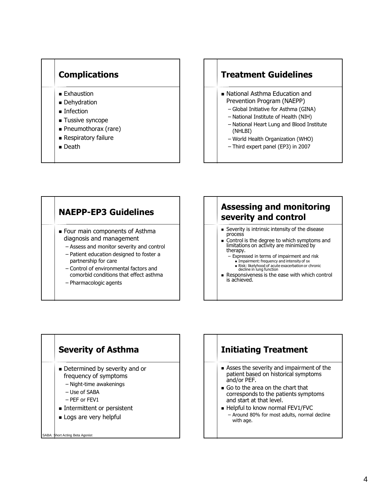#### **Complications**

- **Exhaustion**
- **Dehydration**
- **Infection**
- **Tussive syncope**
- Pneumothorax (rare)
- **Respiratory failure**
- Death

#### **Treatment Guidelines**

- National Asthma Education and Prevention Program (NAEPP)
	- Global Initiative for Asthma (GINA)
	- National Institute of Health (NIH)
	- National Heart Lung and Blood Institute (NHLBI)
	- World Health Organization (WHO)
	- Third expert panel (EP3) in 2007

## **NAEPP-EP3 Guidelines**

- **Four main components of Asthma** diagnosis and management
	- Assess and monitor severity and control
	- Patient education designed to foster a partnership for care
	- Control of environmental factors and comorbid conditions that effect asthma
	- Pharmacologic agents

SABA: Short Acting Beta Agonist

## **Assessing and monitoring severity and control**

- Severity is intrinsic intensity of the disease process
- Control is the degree to which symptoms and limitations on activity are minimized by therapy.
	- Expressed in terms of impairment and risk
		- **Impairment: frequency and intensity of sx**
		- Risk: likelyhood of acute exacerbation or chronic decline in lung function
- Responsiveness is the ease with which control is achieved.

## **Severity of Asthma** Determined by severity and or frequency of symptoms – Night-time awakenings – Use of SABA – PEF or FEV1 **Intermittent or persistent Logs are very helpful**

## **Initiating Treatment**

- Asses the severity and impairment of the patient based on historical symptoms and/or PEF.
- Go to the area on the chart that corresponds to the patients symptoms and start at that level.
- Helpful to know normal FEV1/FVC – Around 80% for most adults, normal decline with age.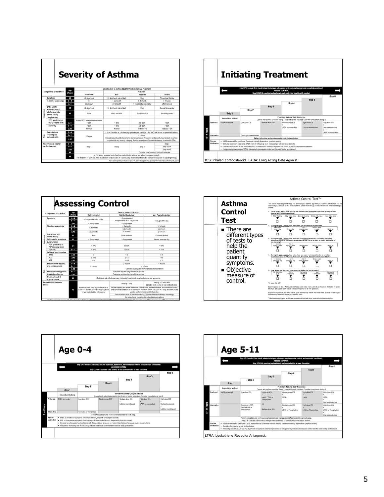|                                            |                       | <b>Severity of Asthma</b>                  |                                                                                                                                                                                                                                                                                                                                                     |                                                |                                                                                                                                                                                                                                                                                                                                                                                                                                                             |  |
|--------------------------------------------|-----------------------|--------------------------------------------|-----------------------------------------------------------------------------------------------------------------------------------------------------------------------------------------------------------------------------------------------------------------------------------------------------------------------------------------------------|------------------------------------------------|-------------------------------------------------------------------------------------------------------------------------------------------------------------------------------------------------------------------------------------------------------------------------------------------------------------------------------------------------------------------------------------------------------------------------------------------------------------|--|
|                                            |                       |                                            |                                                                                                                                                                                                                                                                                                                                                     |                                                |                                                                                                                                                                                                                                                                                                                                                                                                                                                             |  |
| Components of SEVERITY                     |                       |                                            | Persistent                                                                                                                                                                                                                                                                                                                                          |                                                |                                                                                                                                                                                                                                                                                                                                                                                                                                                             |  |
|                                            |                       | Intermittent                               | Mild                                                                                                                                                                                                                                                                                                                                                | Moderate                                       | <b>Severe</b>                                                                                                                                                                                                                                                                                                                                                                                                                                               |  |
| Symptoms                                   | All                   | $\leq$ 2 days/week                         | > 2 days/week but not daily                                                                                                                                                                                                                                                                                                                         | Daily                                          | Throughout the day                                                                                                                                                                                                                                                                                                                                                                                                                                          |  |
| Nighttime awakenings                       | $0 - 4$               | n                                          | $1-2$ s/month                                                                                                                                                                                                                                                                                                                                       | 3-4ximonth                                     | > 1xlanek                                                                                                                                                                                                                                                                                                                                                                                                                                                   |  |
|                                            | $\geq 5$              | $\leq$ 2x/month                            | 3-Avimonth                                                                                                                                                                                                                                                                                                                                          | > 1x/week but not nightly                      | Often 7x/week                                                                                                                                                                                                                                                                                                                                                                                                                                               |  |
| SARA use for<br>symptom control            | All                   | $\leq$ 2 days/week                         | > 2 days/week but not daily                                                                                                                                                                                                                                                                                                                         | Daily                                          | Several times a day                                                                                                                                                                                                                                                                                                                                                                                                                                         |  |
| Interference with<br>normal activity       | All                   | None                                       | Minor limitation                                                                                                                                                                                                                                                                                                                                    | Some limitation                                | Extremely limited                                                                                                                                                                                                                                                                                                                                                                                                                                           |  |
| Lung function:                             |                       |                                            |                                                                                                                                                                                                                                                                                                                                                     |                                                |                                                                                                                                                                                                                                                                                                                                                                                                                                                             |  |
| PEF (personal best)                        | $\geq 5$              | Normal FEV- between exacerbations.<br>>80% | >80%                                                                                                                                                                                                                                                                                                                                                | 60-80%                                         | $< 60\%$                                                                                                                                                                                                                                                                                                                                                                                                                                                    |  |
| FEV-/FVC                                   | $5 - 11$              | > 85%                                      | $>80\%$                                                                                                                                                                                                                                                                                                                                             | 75-80%                                         | $<$ 60%                                                                                                                                                                                                                                                                                                                                                                                                                                                     |  |
|                                            | $\geq$ 12             | Normal                                     | Normal                                                                                                                                                                                                                                                                                                                                              | Reduced 5%                                     | Reduced > 5%                                                                                                                                                                                                                                                                                                                                                                                                                                                |  |
| Exacerbations                              | $0 - 4$               |                                            | $\geq$ 2x in 6 months or $\geq$ 4 wheezing episodes/year lasting > 1 day AND risk factors for persistent asthma<br>$\geq 2$ olvear<br>Consider severity and interval since last exacerbation. Frequency and severity may fluctuate over time<br>for patients in any severity category. Relative annual risk of exacerbations may be related to FEV. |                                                |                                                                                                                                                                                                                                                                                                                                                                                                                                                             |  |
| requiring oral<br>corticosteroids          | $5 - 11$<br>$\geq 12$ | $\leq$ 1x/year                             |                                                                                                                                                                                                                                                                                                                                                     |                                                |                                                                                                                                                                                                                                                                                                                                                                                                                                                             |  |
| Recommended step for<br>starting treatment |                       | $0 - 4$<br>$5 - 11$<br>Step 1<br>>12       | Step 2                                                                                                                                                                                                                                                                                                                                              | Step 3                                         | Step 3                                                                                                                                                                                                                                                                                                                                                                                                                                                      |  |
|                                            |                       |                                            |                                                                                                                                                                                                                                                                                                                                                     |                                                | Step 3 or 4                                                                                                                                                                                                                                                                                                                                                                                                                                                 |  |
|                                            |                       |                                            |                                                                                                                                                                                                                                                                                                                                                     |                                                | Step 4 or 5                                                                                                                                                                                                                                                                                                                                                                                                                                                 |  |
|                                            | AII                   |                                            |                                                                                                                                                                                                                                                                                                                                                     | Consider short course of oral corticosteroids. |                                                                                                                                                                                                                                                                                                                                                                                                                                                             |  |
|                                            | All                   |                                            |                                                                                                                                                                                                                                                                                                                                                     |                                                |                                                                                                                                                                                                                                                                                                                                                                                                                                                             |  |
|                                            | FEV: (predicted) or   | Aae<br>(Years)                             |                                                                                                                                                                                                                                                                                                                                                     |                                                | Classification of Asthma SEVERITY (Intermittent vs. Persistent)<br>In 2-6 weeks, evaluate level of asthma control that is achieve and adjust therapy accordingly.<br>For children 0-4 years old, if no clear benefit is observed in 4-6 weeks, stop treatment and consider alternative diagnosis or adjusting therapy.<br>FEV, forced expiratory volume in 1 second: FVC, forced vital capacity, PEF, peak expiratory flow; SABA, short-acting beta-agonist |  |



| Age<br>Components of CONTROL            |                                            |                       | Level of Asthma CONTROL                                                                                                      |                                                                                                                                                                                                                                                |                                                                                     |  |  |
|-----------------------------------------|--------------------------------------------|-----------------------|------------------------------------------------------------------------------------------------------------------------------|------------------------------------------------------------------------------------------------------------------------------------------------------------------------------------------------------------------------------------------------|-------------------------------------------------------------------------------------|--|--|
|                                         |                                            | (Years)               | <b>Well Controlled</b>                                                                                                       | Not Well Controlled                                                                                                                                                                                                                            | Very Poorly Controlled                                                              |  |  |
|                                         | <b>Symptoms</b>                            | $0 - 4$<br>$5 - 11$   | ≤ 2 days/week but ≤ 1xiday                                                                                                   | > 2 days/week or<br>multiple times on ≤ 2 days/week                                                                                                                                                                                            | Throughout the day                                                                  |  |  |
|                                         |                                            | $\geq 12$             | ≤ 2 days/week                                                                                                                | > 2 days/week                                                                                                                                                                                                                                  |                                                                                     |  |  |
|                                         | Nighttime awakenings                       | $0 - 4$               | $<$ 1 $x$ /month                                                                                                             | > 1ximonth                                                                                                                                                                                                                                     | > 1x/week                                                                           |  |  |
|                                         |                                            | $5 - 11$              |                                                                                                                              | $\geq$ 2 s/month                                                                                                                                                                                                                               | $\geq 2x$ /areek                                                                    |  |  |
|                                         |                                            | $\geq 12$             | $\leq$ 2x/month                                                                                                              | $1 - 3x$ /week                                                                                                                                                                                                                                 | $\geq 4x/$ amek                                                                     |  |  |
| mpairment                               | Interference with<br>normal activity       | All                   | None                                                                                                                         | Some limitation                                                                                                                                                                                                                                | Extremely limited                                                                   |  |  |
|                                         | SABA use for symptoms                      | All                   | ≤ 2 days/week                                                                                                                | > 2 days/week                                                                                                                                                                                                                                  | Several times per day                                                               |  |  |
|                                         | Lung function                              |                       |                                                                                                                              |                                                                                                                                                                                                                                                |                                                                                     |  |  |
|                                         | FEV- (predicted) or<br>PEF (personal best) | $\geq 5$              | >80%                                                                                                                         | 60-80%                                                                                                                                                                                                                                         | $< 60\%$                                                                            |  |  |
|                                         | <b>FEV-FVC</b>                             | $5 - 11$              | >80%                                                                                                                         | 75-80%                                                                                                                                                                                                                                         | < 75%                                                                               |  |  |
|                                         | Validated questionnaires                   |                       |                                                                                                                              |                                                                                                                                                                                                                                                |                                                                                     |  |  |
|                                         | <b>ATAQ</b>                                | $\geq 12$             | $\circ$                                                                                                                      | $1 - 2$                                                                                                                                                                                                                                        | $3 - 4$                                                                             |  |  |
|                                         | ACQ                                        | $\geq 12$             | < 0.75                                                                                                                       | >1.5                                                                                                                                                                                                                                           | n/a                                                                                 |  |  |
|                                         | <b>ACT</b>                                 | $\geq 12$             | $\geq 20$                                                                                                                    | $16 - 19$                                                                                                                                                                                                                                      | $\leq 15$                                                                           |  |  |
|                                         | <b>Exacerbations requiring</b>             | $0 - 4$               |                                                                                                                              | $2-3x/vear$                                                                                                                                                                                                                                    | > 3x/year                                                                           |  |  |
|                                         | oral corticosteroids                       | $5 - 11$<br>$\geq 12$ | $\leq$ 1x/year                                                                                                               | $\geq 2x/\text{year}$<br>Consider severity and interval since last exacerbation                                                                                                                                                                |                                                                                     |  |  |
| šk                                      | Reduction in lung growth                   | $5 - 11$              | Evaluation requires long-term follow-up care                                                                                 |                                                                                                                                                                                                                                                |                                                                                     |  |  |
|                                         | Loss of lung function                      | $\geq 12$             | Evaluation requires long-term follow-up care                                                                                 |                                                                                                                                                                                                                                                |                                                                                     |  |  |
|                                         | Treatment-related<br>adverse effects       | All                   | Medication side effects can vary in intensity from none to very troublesome and worrisome.                                   |                                                                                                                                                                                                                                                |                                                                                     |  |  |
| Recommended treatment<br>actions<br>All |                                            |                       |                                                                                                                              | Step up 1 step                                                                                                                                                                                                                                 | Step up 1-2 steps and<br>consider short course of oral corticosteroids              |  |  |
|                                         |                                            |                       | Maintain current step: regular follow-up at<br>every 1-6 months; consider stepping down<br>if well controlled for > 3 months | Before stepping up, review adherence to medication, inhaler technique, environmental control.<br>and comorbid conditions. If an alternative treatment option was used in a step, discontinue and<br>use the preferred treatment for that step. |                                                                                     |  |  |
|                                         |                                            |                       |                                                                                                                              |                                                                                                                                                                                                                                                | Reevaluate the level of asthma control in 2-6 weeks and adjust therapy accordingly. |  |  |
|                                         |                                            |                       |                                                                                                                              |                                                                                                                                                                                                                                                | For side effects, consider alternative treatment options.                           |  |  |





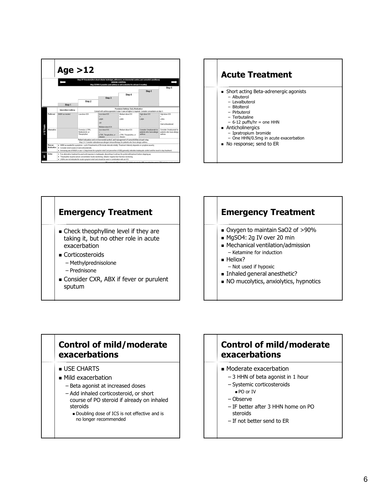





#### **Emergency Treatment** Oxygen to maintain SaO2 of >90% MgSO4: 2g IV over 20 min Mechanical ventilation/admission – Ketamine for induction Heliox? – Not used if hypoxic Inhaled general anesthetic?

NO mucolytics, anxiolytics, hypnotics

## **Control of mild/moderate exacerbations**

- **USE CHARTS**
- $\blacksquare$  Mild exacerbation
	- Beta agonist at increased doses
	- Add inhaled corticosteroid, or short course of PO steroid if already on inhaled steroids
		- Doubling dose of ICS is not effective and is no longer recommended

## **Control of mild/moderate exacerbations**

- **Moderate exacerbation** 
	- 3 HHN of beta agonist in 1 hour
	- Systemic corticosteroids
	- PO or IV
	- Observe
	- IF better after 3 HHN home on PO steroids
	- If not better send to ER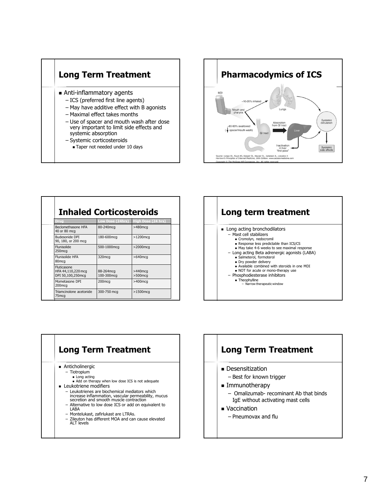



| Drug<br>Beclomethasone HFA<br>40 or 80 mcg                    | Low Dose (24hrs)<br>80-240mcq | High Dose (24 hrs)<br>$>480$ mcq |
|---------------------------------------------------------------|-------------------------------|----------------------------------|
| Budesonide DPI<br>90, 180, or 200 mcg                         | 180-600mcg                    | $>1200$ mcg                      |
| Flunisolide<br>250mcg                                         | 500-1000mcg                   | $>$ 2000mcq                      |
| Flunisolide HFA<br>80 <sub>mcq</sub>                          | 320mcq                        | $>640$ mcg                       |
| <b>Fluticasone</b><br>HFA 44,110,220 mcg<br>DPI 50,100,250mcg | 88-264mcg<br>100-300mcg       | $>440$ mcg<br>$>500$ mcg         |
| Mometasone DPI<br>200 <sub>mca</sub>                          | 200 <sub>mcq</sub>            | $>400$ mca                       |
| Triamcinolone acetonide<br>75mcg                              | 300-750 mcg                   | $>1500$ mcg                      |
|                                                               |                               |                                  |



## **Long Term Treatment**

- **Anticholinergic** 
	- Tiotropium
		- Long acting Add on therapy when low dose ICS is not adequate
- **Leukotriene modifiers** 
	- Leukotrienes are biochemical mediators which increase inflammation, vascular permeability, mucus secretion and smooth muscle contraction
	- Alternative to low dose ICS or add on equivalent to LABA
	- Montelukast, zafirlukast are LTRAs.
	- Zileuton has different MOA and can cause elevated ALT levels

#### **Long Term Treatment**

- **Desensitization** 
	- Best for known trigger
- **Immunotherapy** 
	- Omalizumab- recominant Ab that binds IgE without activating mast cells
- **vaccination** 
	- Pneumovax and flu